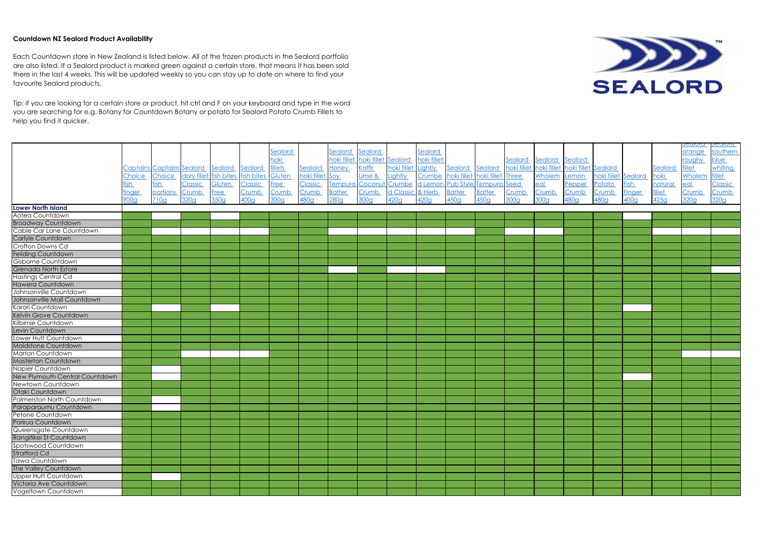## **Countdown NZ Sealord Product Availability**

|                                   |              |                           |                        |             |            |                  |                 |                                 |         |                  |             |                        |                   |             |                  |                                 |                     |                  |               | sealoid | <u>sealoid</u> |
|-----------------------------------|--------------|---------------------------|------------------------|-------------|------------|------------------|-----------------|---------------------------------|---------|------------------|-------------|------------------------|-------------------|-------------|------------------|---------------------------------|---------------------|------------------|---------------|---------|----------------|
|                                   |              |                           |                        |             |            | Sealord          |                 | Sealord                         | Sealord |                  | Sealord     |                        |                   |             |                  |                                 |                     |                  |               | orange  | southern       |
|                                   |              |                           |                        |             |            | hoki             |                 | hoki fillet hoki fillet Sealord |         |                  | hoki fillet |                        |                   | Sealord     | Sealord          | Sealord                         |                     |                  |               | roughy  | blue           |
|                                   |              | Captains Captains Sealord |                        | Sealord     | Sealord    | <b>fillets</b>   | Sealord         | Honey                           | Kaffir  | hoki fillet      | Lightly     | Sealord Sealord        |                   | hoki fillet |                  | hoki fillet hoki fillet Sealord |                     |                  | Sealord       | fillet  | whiting        |
|                                   | Choice       | Choice                    | dory fillet fish bites |             | fish bites | Gluten           | hoki fillet Soy |                                 | Lime &  | Lightly          | Crumbe      | hoki fillet            | hoki fillet Three |             | Wholem           | Lemon                           | hoki fiilet Sealord |                  | hoki          | Wholem  | fillet         |
|                                   | sh           | fish                      | Classic                | Gluten      | Classic    | <b>Free</b>      | <b>Classic</b>  | Tempura Coconut Crumbe          |         |                  | d Lemon     | Pub Style Tempura Seed |                   |             | <u>eal</u>       | Pepper                          | Potato              | <b>Fish</b>      | natural       | eal     | <b>Classic</b> |
|                                   | <u>inger</u> | portions                  | Crumb                  | <b>Free</b> | Crumb      | Crumb            | <b>Crumb</b>    | <b>Batter</b>                   | Crumb   | d Classic & Herb |             | <b>Batter</b>          | <b>Batter</b>     | Crumb       | Crumb            | Crumb                           | Crumb               | <b>Finger</b>    | <b>fillet</b> | Crumb   | Crumb          |
|                                   | 900g         | 710g                      | 320g                   | 350g        | 400g       | 300 <sub>g</sub> | 480g            | 280g                            | 300g    | 420g             | 420g        | 450g                   | 450g              | 300g        | 300 <sub>g</sub> | 480g                            | 480g                | 400 <sub>g</sub> | 425g          | 320g    | 320g           |
| <b>Lower North Island</b>         |              |                           |                        |             |            |                  |                 |                                 |         |                  |             |                        |                   |             |                  |                                 |                     |                  |               |         |                |
| Aotea Countdown                   |              |                           |                        |             |            |                  |                 |                                 |         |                  |             |                        |                   |             |                  |                                 |                     |                  |               |         |                |
| <b>Broadway Countdown</b>         |              |                           |                        |             |            |                  |                 |                                 |         |                  |             |                        |                   |             |                  |                                 |                     |                  |               |         |                |
| Cable Car Lane Countdown          |              |                           |                        |             |            |                  |                 |                                 |         |                  |             |                        |                   |             |                  |                                 |                     |                  |               |         |                |
| Carlyle Countdown                 |              |                           |                        |             |            |                  |                 |                                 |         |                  |             |                        |                   |             |                  |                                 |                     |                  |               |         |                |
| Crofton Downs Cd                  |              |                           |                        |             |            |                  |                 |                                 |         |                  |             |                        |                   |             |                  |                                 |                     |                  |               |         |                |
| Feilding Countdown                |              |                           |                        |             |            |                  |                 |                                 |         |                  |             |                        |                   |             |                  |                                 |                     |                  |               |         |                |
| Gisborne Countdown                |              |                           |                        |             |            |                  |                 |                                 |         |                  |             |                        |                   |             |                  |                                 |                     |                  |               |         |                |
| <b>Grenada North Estore</b>       |              |                           |                        |             |            |                  |                 |                                 |         |                  |             |                        |                   |             |                  |                                 |                     |                  |               |         |                |
| <b>Hastings Central Cd</b>        |              |                           |                        |             |            |                  |                 |                                 |         |                  |             |                        |                   |             |                  |                                 |                     |                  |               |         |                |
| <b>Hawera Countdown</b>           |              |                           |                        |             |            |                  |                 |                                 |         |                  |             |                        |                   |             |                  |                                 |                     |                  |               |         |                |
| Johnsonville Countdown            |              |                           |                        |             |            |                  |                 |                                 |         |                  |             |                        |                   |             |                  |                                 |                     |                  |               |         |                |
| Johnsonville Mall Countdown       |              |                           |                        |             |            |                  |                 |                                 |         |                  |             |                        |                   |             |                  |                                 |                     |                  |               |         |                |
| Karori Countdown                  |              |                           |                        |             |            |                  |                 |                                 |         |                  |             |                        |                   |             |                  |                                 |                     |                  |               |         |                |
| Kelvin Grove Countdown            |              |                           |                        |             |            |                  |                 |                                 |         |                  |             |                        |                   |             |                  |                                 |                     |                  |               |         |                |
| Kilbirnie Countdown               |              |                           |                        |             |            |                  |                 |                                 |         |                  |             |                        |                   |             |                  |                                 |                     |                  |               |         |                |
| Levin Countdown                   |              |                           |                        |             |            |                  |                 |                                 |         |                  |             |                        |                   |             |                  |                                 |                     |                  |               |         |                |
| Lower Hutt Countdown              |              |                           |                        |             |            |                  |                 |                                 |         |                  |             |                        |                   |             |                  |                                 |                     |                  |               |         |                |
| Maidstone Countdown               |              |                           |                        |             |            |                  |                 |                                 |         |                  |             |                        |                   |             |                  |                                 |                     |                  |               |         |                |
| Marton Countdown                  |              |                           |                        |             |            |                  |                 |                                 |         |                  |             |                        |                   |             |                  |                                 |                     |                  |               |         |                |
| <b>Masterton Countdown</b>        |              |                           |                        |             |            |                  |                 |                                 |         |                  |             |                        |                   |             |                  |                                 |                     |                  |               |         |                |
| Napier Countdown                  |              |                           |                        |             |            |                  |                 |                                 |         |                  |             |                        |                   |             |                  |                                 |                     |                  |               |         |                |
| New Plymouth Central Countdown    |              |                           |                        |             |            |                  |                 |                                 |         |                  |             |                        |                   |             |                  |                                 |                     |                  |               |         |                |
| Newtown Countdown                 |              |                           |                        |             |            |                  |                 |                                 |         |                  |             |                        |                   |             |                  |                                 |                     |                  |               |         |                |
| Otaki Countdown                   |              |                           |                        |             |            |                  |                 |                                 |         |                  |             |                        |                   |             |                  |                                 |                     |                  |               |         |                |
| <b>Palmerston North Countdown</b> |              |                           |                        |             |            |                  |                 |                                 |         |                  |             |                        |                   |             |                  |                                 |                     |                  |               |         |                |
| Paraparaumu Countdown             |              |                           |                        |             |            |                  |                 |                                 |         |                  |             |                        |                   |             |                  |                                 |                     |                  |               |         |                |
| Petone Countdown                  |              |                           |                        |             |            |                  |                 |                                 |         |                  |             |                        |                   |             |                  |                                 |                     |                  |               |         |                |
| Porirua Countdown                 |              |                           |                        |             |            |                  |                 |                                 |         |                  |             |                        |                   |             |                  |                                 |                     |                  |               |         |                |
| Queensgate Countdown              |              |                           |                        |             |            |                  |                 |                                 |         |                  |             |                        |                   |             |                  |                                 |                     |                  |               |         |                |
| Rangitikei St Countdown           |              |                           |                        |             |            |                  |                 |                                 |         |                  |             |                        |                   |             |                  |                                 |                     |                  |               |         |                |
| Spotswood Countdown               |              |                           |                        |             |            |                  |                 |                                 |         |                  |             |                        |                   |             |                  |                                 |                     |                  |               |         |                |
| <b>Stratford Cd</b>               |              |                           |                        |             |            |                  |                 |                                 |         |                  |             |                        |                   |             |                  |                                 |                     |                  |               |         |                |
| Tawa Countdown                    |              |                           |                        |             |            |                  |                 |                                 |         |                  |             |                        |                   |             |                  |                                 |                     |                  |               |         |                |
| The Valley Countdown              |              |                           |                        |             |            |                  |                 |                                 |         |                  |             |                        |                   |             |                  |                                 |                     |                  |               |         |                |
| <b>Upper Hutt Countdown</b>       |              |                           |                        |             |            |                  |                 |                                 |         |                  |             |                        |                   |             |                  |                                 |                     |                  |               |         |                |
| Victoria Ave Countdown            |              |                           |                        |             |            |                  |                 |                                 |         |                  |             |                        |                   |             |                  |                                 |                     |                  |               |         |                |
| Vogeltown Countdown               |              |                           |                        |             |            |                  |                 |                                 |         |                  |             |                        |                   |             |                  |                                 |                     |                  |               |         |                |



Each Countdown store in New Zealand is listed below. All of the frozen products in the Sealord portfolio are also listed. If a Sealord product is marked green against a certain store, that means it has been sold there in the last 4 weeks. This will be updated weekly so you can stay up to date on where to find your favourite Sealord products.

Tip: if you are looking for a certain store or product, hit ctrl and F on your keyboard and type in the word you are searching for e.g. Botany for Countdown Botany or potato for Sealord Potato Crumb Fillets to help you find it quicker.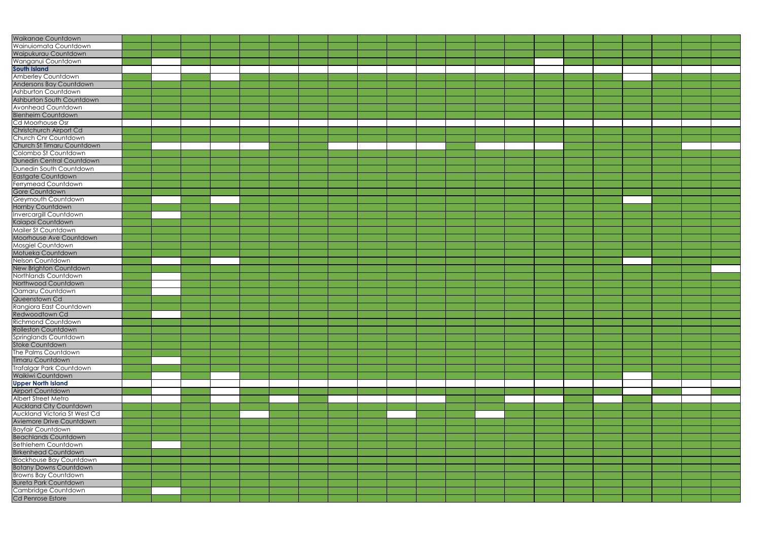| Waikanae Countdown                       |  |  |  |  |  |  |  |  |  |  |  |
|------------------------------------------|--|--|--|--|--|--|--|--|--|--|--|
| Wainuiomata Countdown                    |  |  |  |  |  |  |  |  |  |  |  |
| Waipukurau Countdown                     |  |  |  |  |  |  |  |  |  |  |  |
| Wanganui Countdown                       |  |  |  |  |  |  |  |  |  |  |  |
| <b>South Island</b>                      |  |  |  |  |  |  |  |  |  |  |  |
| <b>Amberley Countdown</b>                |  |  |  |  |  |  |  |  |  |  |  |
| Andersons Bay Countdown                  |  |  |  |  |  |  |  |  |  |  |  |
| Ashburton Countdown                      |  |  |  |  |  |  |  |  |  |  |  |
| Ashburton South Countdown                |  |  |  |  |  |  |  |  |  |  |  |
| Avonhead Countdown                       |  |  |  |  |  |  |  |  |  |  |  |
| <b>Blenheim Countdown</b>                |  |  |  |  |  |  |  |  |  |  |  |
| Cd Moorhouse Osr                         |  |  |  |  |  |  |  |  |  |  |  |
| Christchurch Airport Cd                  |  |  |  |  |  |  |  |  |  |  |  |
| Church Cnr Countdown                     |  |  |  |  |  |  |  |  |  |  |  |
| Church St Timaru Countdown               |  |  |  |  |  |  |  |  |  |  |  |
| Colombo St Countdown                     |  |  |  |  |  |  |  |  |  |  |  |
| Dunedin Central Countdown                |  |  |  |  |  |  |  |  |  |  |  |
| Dunedin South Countdown                  |  |  |  |  |  |  |  |  |  |  |  |
| Eastgate Countdown                       |  |  |  |  |  |  |  |  |  |  |  |
| Ferrymead Countdown                      |  |  |  |  |  |  |  |  |  |  |  |
| Gore Countdown                           |  |  |  |  |  |  |  |  |  |  |  |
| Greymouth Countdown                      |  |  |  |  |  |  |  |  |  |  |  |
| Hornby Countdown                         |  |  |  |  |  |  |  |  |  |  |  |
| <b>Invercargill Countdown</b>            |  |  |  |  |  |  |  |  |  |  |  |
| Kaiapoi Countdown                        |  |  |  |  |  |  |  |  |  |  |  |
| Mailer St Countdown                      |  |  |  |  |  |  |  |  |  |  |  |
|                                          |  |  |  |  |  |  |  |  |  |  |  |
| Moorhouse Ave Countdown                  |  |  |  |  |  |  |  |  |  |  |  |
| Mosgiel Countdown                        |  |  |  |  |  |  |  |  |  |  |  |
| Motueka Countdown                        |  |  |  |  |  |  |  |  |  |  |  |
| Nelson Countdown                         |  |  |  |  |  |  |  |  |  |  |  |
| New Brighton Countdown                   |  |  |  |  |  |  |  |  |  |  |  |
| Northlands Countdown                     |  |  |  |  |  |  |  |  |  |  |  |
| Northwood Countdown<br>Oamaru Countdown  |  |  |  |  |  |  |  |  |  |  |  |
|                                          |  |  |  |  |  |  |  |  |  |  |  |
| Queenstown Cd<br>Rangiora East Countdown |  |  |  |  |  |  |  |  |  |  |  |
| Redwoodtown Cd                           |  |  |  |  |  |  |  |  |  |  |  |
| Richmond Countdown                       |  |  |  |  |  |  |  |  |  |  |  |
| <b>Rolleston Countdown</b>               |  |  |  |  |  |  |  |  |  |  |  |
| Springlands Countdown                    |  |  |  |  |  |  |  |  |  |  |  |
| Stoke Countdown                          |  |  |  |  |  |  |  |  |  |  |  |
| The Palms Countdown                      |  |  |  |  |  |  |  |  |  |  |  |
| Timaru Countdown                         |  |  |  |  |  |  |  |  |  |  |  |
| Trafalgar Park Countdown                 |  |  |  |  |  |  |  |  |  |  |  |
| Waikiwi Countdown                        |  |  |  |  |  |  |  |  |  |  |  |
| <b>Upper North Island</b>                |  |  |  |  |  |  |  |  |  |  |  |
| Airport Countdown                        |  |  |  |  |  |  |  |  |  |  |  |
| <b>Albert Street Metro</b>               |  |  |  |  |  |  |  |  |  |  |  |
| <b>Auckland City Countdown</b>           |  |  |  |  |  |  |  |  |  |  |  |
| <b>Auckland Victoria St West Cd</b>      |  |  |  |  |  |  |  |  |  |  |  |
| Aviemore Drive Countdown                 |  |  |  |  |  |  |  |  |  |  |  |
|                                          |  |  |  |  |  |  |  |  |  |  |  |
| <b>Bayfair Countdown</b>                 |  |  |  |  |  |  |  |  |  |  |  |
| <b>Beachlands Countdown</b>              |  |  |  |  |  |  |  |  |  |  |  |
| <b>Bethlehem Countdown</b>               |  |  |  |  |  |  |  |  |  |  |  |
| <b>Birkenhead Countdown</b>              |  |  |  |  |  |  |  |  |  |  |  |
| <b>Blockhouse Bay Countdown</b>          |  |  |  |  |  |  |  |  |  |  |  |
| <b>Botany Downs Countdown</b>            |  |  |  |  |  |  |  |  |  |  |  |
| <b>Browns Bay Countdown</b>              |  |  |  |  |  |  |  |  |  |  |  |
| <b>Bureta Park Countdown</b>             |  |  |  |  |  |  |  |  |  |  |  |
| Cambridge Countdown                      |  |  |  |  |  |  |  |  |  |  |  |
| Cd Penrose Estore                        |  |  |  |  |  |  |  |  |  |  |  |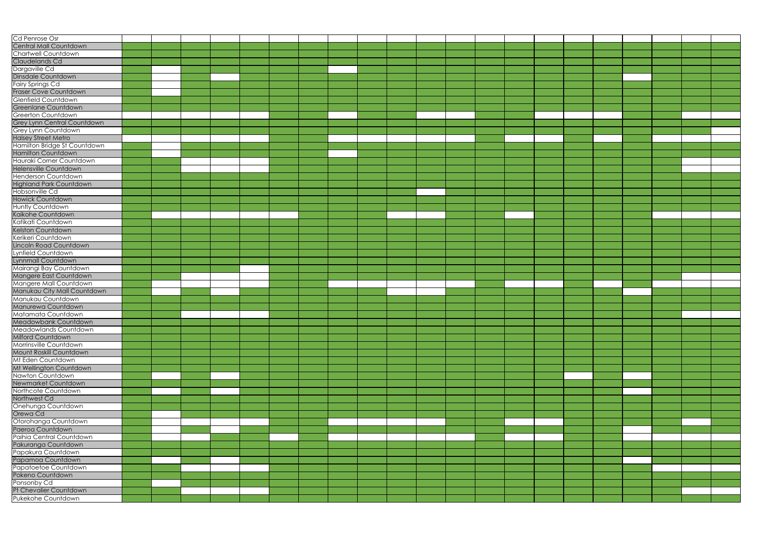| Cd Penrose Osr                               |  |  |  |  |  |  |  |  |  |  |  |
|----------------------------------------------|--|--|--|--|--|--|--|--|--|--|--|
| Central Mall Countdown                       |  |  |  |  |  |  |  |  |  |  |  |
| Chartwell Countdown                          |  |  |  |  |  |  |  |  |  |  |  |
| Claudelands Cd                               |  |  |  |  |  |  |  |  |  |  |  |
| Dargaville Cd                                |  |  |  |  |  |  |  |  |  |  |  |
|                                              |  |  |  |  |  |  |  |  |  |  |  |
| <b>Dinsdale Countdown</b>                    |  |  |  |  |  |  |  |  |  |  |  |
| Fairy Springs Cd                             |  |  |  |  |  |  |  |  |  |  |  |
| <b>Fraser Cove Countdown</b>                 |  |  |  |  |  |  |  |  |  |  |  |
| Glenfield Countdown                          |  |  |  |  |  |  |  |  |  |  |  |
| Greenlane Countdown                          |  |  |  |  |  |  |  |  |  |  |  |
| Greerton Countdown                           |  |  |  |  |  |  |  |  |  |  |  |
|                                              |  |  |  |  |  |  |  |  |  |  |  |
| Grey Lynn Central Countdown                  |  |  |  |  |  |  |  |  |  |  |  |
| Grey Lynn Countdown                          |  |  |  |  |  |  |  |  |  |  |  |
| <b>Halsey Street Metro</b>                   |  |  |  |  |  |  |  |  |  |  |  |
| Hamilton Bridge St Countdown                 |  |  |  |  |  |  |  |  |  |  |  |
| Hamilton Countdown                           |  |  |  |  |  |  |  |  |  |  |  |
| Hauraki Corner Countdown                     |  |  |  |  |  |  |  |  |  |  |  |
| Helensville Countdown                        |  |  |  |  |  |  |  |  |  |  |  |
| <b>Henderson Countdown</b>                   |  |  |  |  |  |  |  |  |  |  |  |
|                                              |  |  |  |  |  |  |  |  |  |  |  |
| <b>Highland Park Countdown</b>               |  |  |  |  |  |  |  |  |  |  |  |
| Hobsonville Cd                               |  |  |  |  |  |  |  |  |  |  |  |
| <b>Howick Countdown</b>                      |  |  |  |  |  |  |  |  |  |  |  |
| <b>Huntly Countdown</b>                      |  |  |  |  |  |  |  |  |  |  |  |
| Kaikohe Countdown                            |  |  |  |  |  |  |  |  |  |  |  |
| Katikati Countdown                           |  |  |  |  |  |  |  |  |  |  |  |
|                                              |  |  |  |  |  |  |  |  |  |  |  |
| Kelston Countdown                            |  |  |  |  |  |  |  |  |  |  |  |
| Kerikeri Countdown                           |  |  |  |  |  |  |  |  |  |  |  |
| Lincoln Road Countdown                       |  |  |  |  |  |  |  |  |  |  |  |
| Lynfield Countdown                           |  |  |  |  |  |  |  |  |  |  |  |
| Lynnmall Countdown                           |  |  |  |  |  |  |  |  |  |  |  |
| Mairangi Bay Countdown                       |  |  |  |  |  |  |  |  |  |  |  |
|                                              |  |  |  |  |  |  |  |  |  |  |  |
| Mangere East Countdown                       |  |  |  |  |  |  |  |  |  |  |  |
| Mangere Mall Countdown                       |  |  |  |  |  |  |  |  |  |  |  |
| Manukau City Mall Countdown                  |  |  |  |  |  |  |  |  |  |  |  |
| Manukau Countdown                            |  |  |  |  |  |  |  |  |  |  |  |
| Manurewa Countdown                           |  |  |  |  |  |  |  |  |  |  |  |
| Matamata Countdown                           |  |  |  |  |  |  |  |  |  |  |  |
| Meadowbank Countdown                         |  |  |  |  |  |  |  |  |  |  |  |
| Meadowlands Countdown                        |  |  |  |  |  |  |  |  |  |  |  |
|                                              |  |  |  |  |  |  |  |  |  |  |  |
| <b>Milford Countdown</b>                     |  |  |  |  |  |  |  |  |  |  |  |
| Morrinsville Countdown                       |  |  |  |  |  |  |  |  |  |  |  |
| Mount Roskill Countdown                      |  |  |  |  |  |  |  |  |  |  |  |
| Mt Eden Countdown                            |  |  |  |  |  |  |  |  |  |  |  |
| Mt Wellington Countdown                      |  |  |  |  |  |  |  |  |  |  |  |
| Nawton Countdown                             |  |  |  |  |  |  |  |  |  |  |  |
| Newmarket Countdown                          |  |  |  |  |  |  |  |  |  |  |  |
|                                              |  |  |  |  |  |  |  |  |  |  |  |
| Northcote Countdown                          |  |  |  |  |  |  |  |  |  |  |  |
| Northwest Cd                                 |  |  |  |  |  |  |  |  |  |  |  |
| Onehunga Countdown                           |  |  |  |  |  |  |  |  |  |  |  |
| Orewa Cd                                     |  |  |  |  |  |  |  |  |  |  |  |
| Otorohanga Countdown                         |  |  |  |  |  |  |  |  |  |  |  |
| Paeroa Countdown                             |  |  |  |  |  |  |  |  |  |  |  |
| Paihia Central Countdown                     |  |  |  |  |  |  |  |  |  |  |  |
|                                              |  |  |  |  |  |  |  |  |  |  |  |
| Pakuranga Countdown                          |  |  |  |  |  |  |  |  |  |  |  |
| Papakura Countdown                           |  |  |  |  |  |  |  |  |  |  |  |
| Papamoa Countdown                            |  |  |  |  |  |  |  |  |  |  |  |
| Papatoetoe Countdown                         |  |  |  |  |  |  |  |  |  |  |  |
| Pokeno Countdown                             |  |  |  |  |  |  |  |  |  |  |  |
| Ponsonby Cd                                  |  |  |  |  |  |  |  |  |  |  |  |
|                                              |  |  |  |  |  |  |  |  |  |  |  |
| Pt Chevalier Countdown<br>Pukekohe Countdown |  |  |  |  |  |  |  |  |  |  |  |
|                                              |  |  |  |  |  |  |  |  |  |  |  |